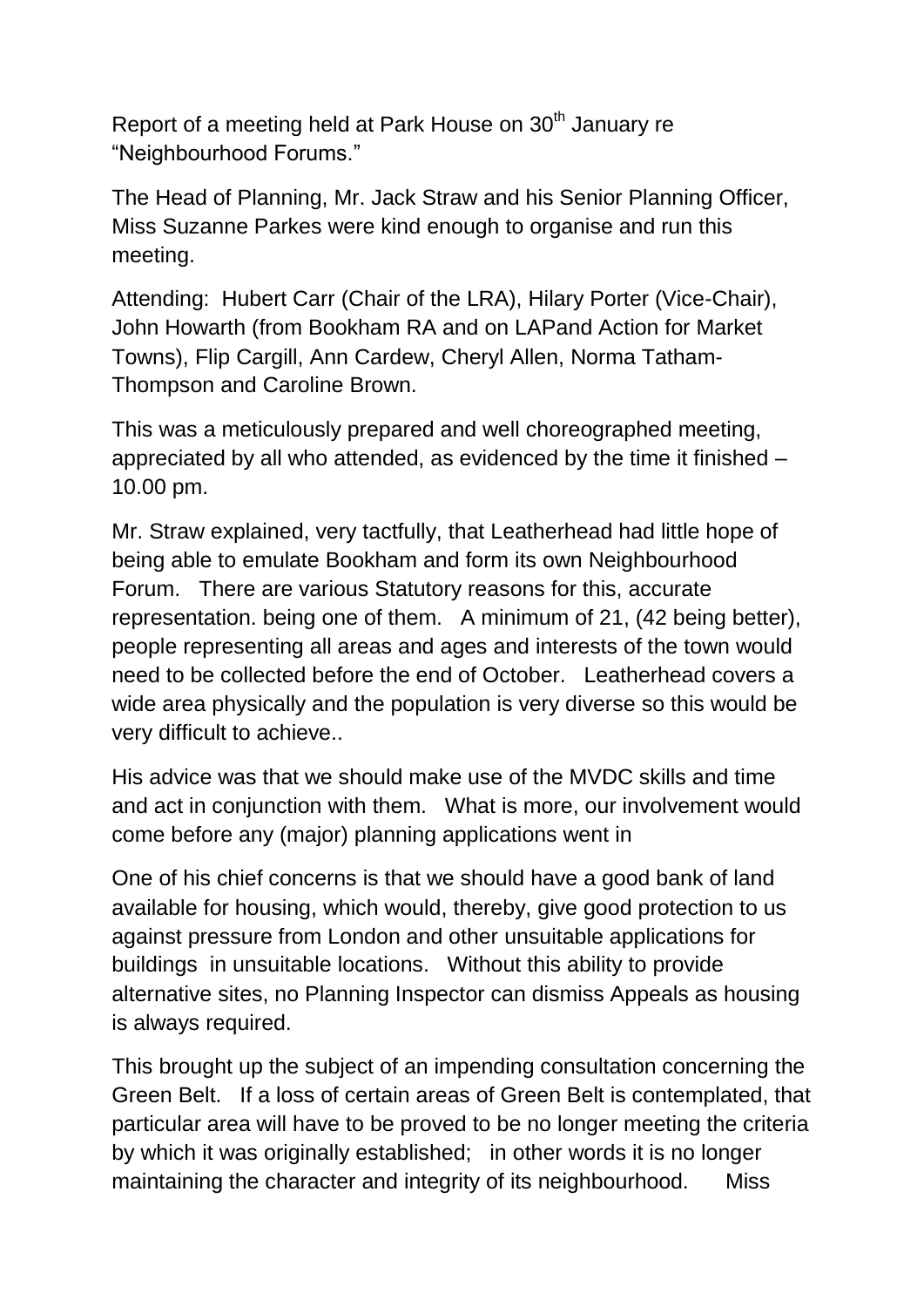Report of a meeting held at Park House on 30<sup>th</sup> January re "Neighbourhood Forums."

The Head of Planning, Mr. Jack Straw and his Senior Planning Officer, Miss Suzanne Parkes were kind enough to organise and run this meeting.

Attending: Hubert Carr (Chair of the LRA), Hilary Porter (Vice-Chair), John Howarth (from Bookham RA and on LAPand Action for Market Towns), Flip Cargill, Ann Cardew, Cheryl Allen, Norma Tatham-Thompson and Caroline Brown.

This was a meticulously prepared and well choreographed meeting, appreciated by all who attended, as evidenced by the time it finished – 10.00 pm.

Mr. Straw explained, very tactfully, that Leatherhead had little hope of being able to emulate Bookham and form its own Neighbourhood Forum. There are various Statutory reasons for this, accurate representation. being one of them. A minimum of 21, (42 being better), people representing all areas and ages and interests of the town would need to be collected before the end of October. Leatherhead covers a wide area physically and the population is very diverse so this would be very difficult to achieve..

His advice was that we should make use of the MVDC skills and time and act in conjunction with them. What is more, our involvement would come before any (major) planning applications went in

One of his chief concerns is that we should have a good bank of land available for housing, which would, thereby, give good protection to us against pressure from London and other unsuitable applications for buildings in unsuitable locations. Without this ability to provide alternative sites, no Planning Inspector can dismiss Appeals as housing is always required.

This brought up the subject of an impending consultation concerning the Green Belt. If a loss of certain areas of Green Belt is contemplated, that particular area will have to be proved to be no longer meeting the criteria by which it was originally established; in other words it is no longer maintaining the character and integrity of its neighbourhood. Miss